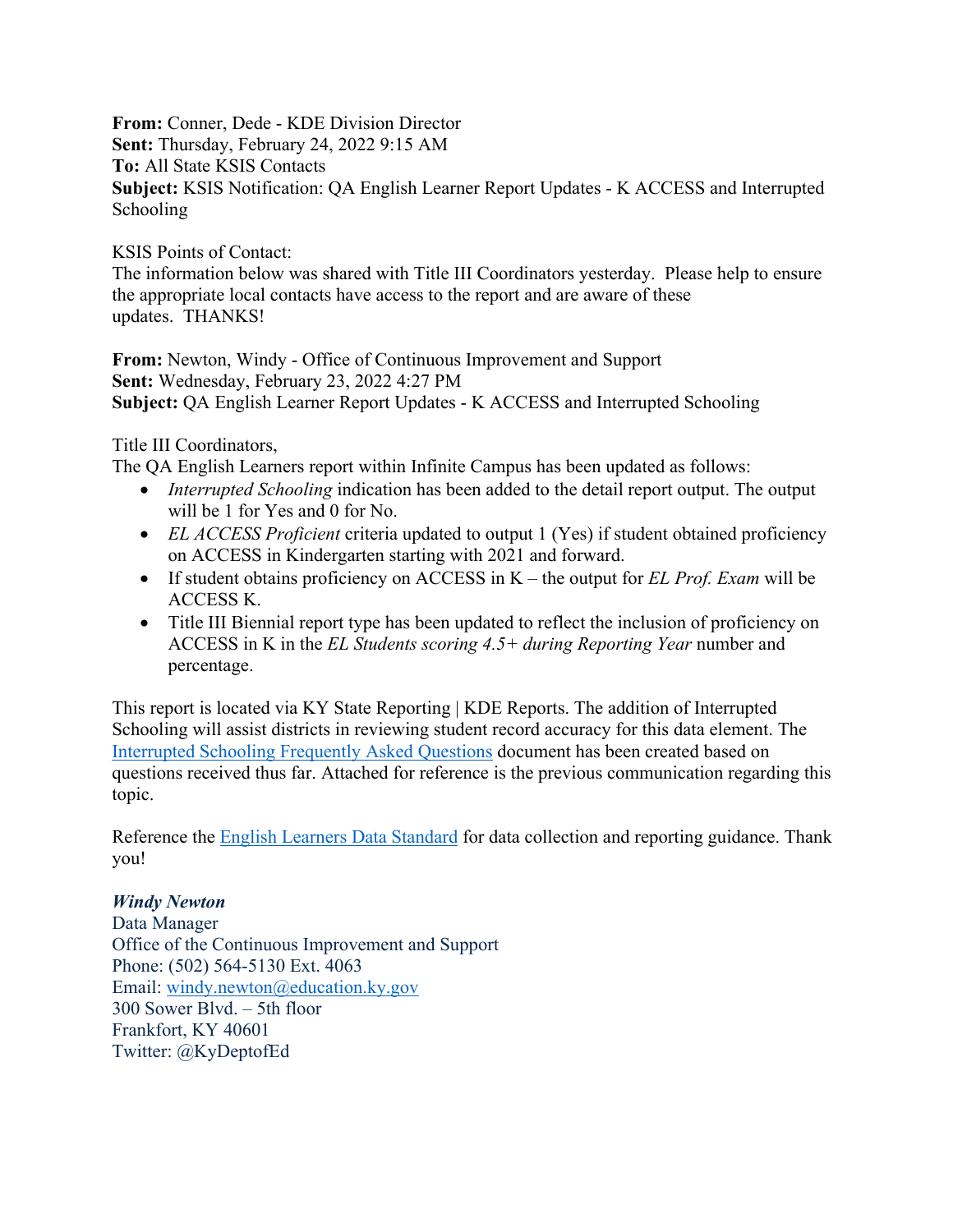**From:** Conner, Dede - KDE Division Director **Sent:** Thursday, February 24, 2022 9:15 AM **To:** All State KSIS Contacts **Subject:** KSIS Notification: QA English Learner Report Updates - K ACCESS and Interrupted Schooling

KSIS Points of Contact:

The information below was shared with Title III Coordinators yesterday. Please help to ensure the appropriate local contacts have access to the report and are aware of these updates. THANKS!

**From:** Newton, Windy - Office of Continuous Improvement and Support **Sent:** Wednesday, February 23, 2022 4:27 PM **Subject:** QA English Learner Report Updates - K ACCESS and Interrupted Schooling

Title III Coordinators,

The QA English Learners report within Infinite Campus has been updated as follows:

- *Interrupted Schooling* indication has been added to the detail report output. The output will be 1 for Yes and 0 for No.
- *EL ACCESS Proficient* criteria updated to output 1 (Yes) if student obtained proficiency on ACCESS in Kindergarten starting with 2021 and forward.
- If student obtains proficiency on ACCESS in K the output for *EL Prof. Exam* will be ACCESS K.
- Title III Biennial report type has been updated to reflect the inclusion of proficiency on ACCESS in K in the *EL Students scoring 4.5+ during Reporting Year* number and percentage.

This report is located via KY State Reporting | KDE Reports. The addition of Interrupted Schooling will assist districts in reviewing student record accuracy for this data element. The [Interrupted Schooling Frequently Asked Questions](https://education.ky.gov/federal/progs/eng/Documents/Interrupted%20Schooling%20FAQ.pdf) document has been created based on questions received thus far. Attached for reference is the previous communication regarding this topic.

Reference the **English Learners Data Standard** for data collection and reporting guidance. Thank you!

## *Windy Newton*

Data Manager Office of the Continuous Improvement and Support Phone: (502) 564-5130 Ext. 4063 Email: [windy.newton@education.ky.gov](mailto:windy.newton@education.ky.gov) 300 Sower Blvd. – 5th floor Frankfort, KY 40601 Twitter: @KyDeptofEd